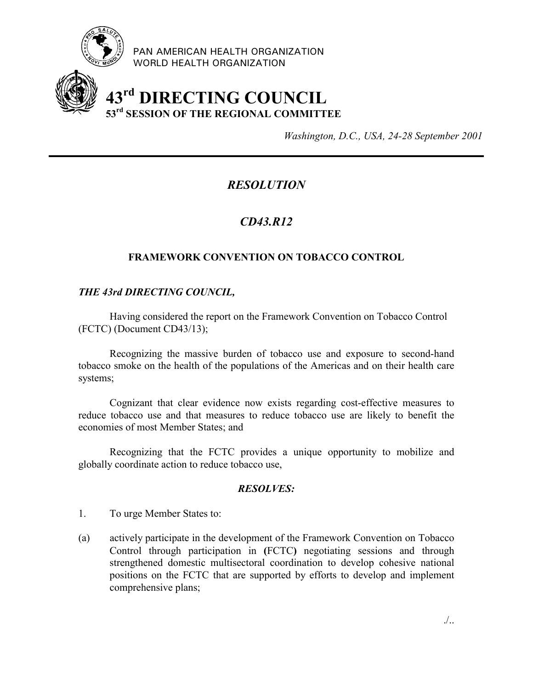

PAN AMERICAN HEALTH ORGANIZATION WORLD HEALTH ORGANIZATION

# **43rd DIRECTING COUNCIL 53rd SESSION OF THE REGIONAL COMMITTEE**

*Washington, D.C., USA, 24-28 September 2001*

## *RESOLUTION*

## *CD43.R12*

### **FRAMEWORK CONVENTION ON TOBACCO CONTROL**

#### *THE 43rd DIRECTING COUNCIL,*

Having considered the report on the Framework Convention on Tobacco Control (FCTC) (Document CD43/13);

Recognizing the massive burden of tobacco use and exposure to second-hand tobacco smoke on the health of the populations of the Americas and on their health care systems;

Cognizant that clear evidence now exists regarding cost-effective measures to reduce tobacco use and that measures to reduce tobacco use are likely to benefit the economies of most Member States; and

Recognizing that the FCTC provides a unique opportunity to mobilize and globally coordinate action to reduce tobacco use,

#### *RESOLVES:*

- 1. To urge Member States to:
- (a) actively participate in the development of the Framework Convention on Tobacco Control through participation in **(**FCTC**)** negotiating sessions and through strengthened domestic multisectoral coordination to develop cohesive national positions on the FCTC that are supported by efforts to develop and implement comprehensive plans;